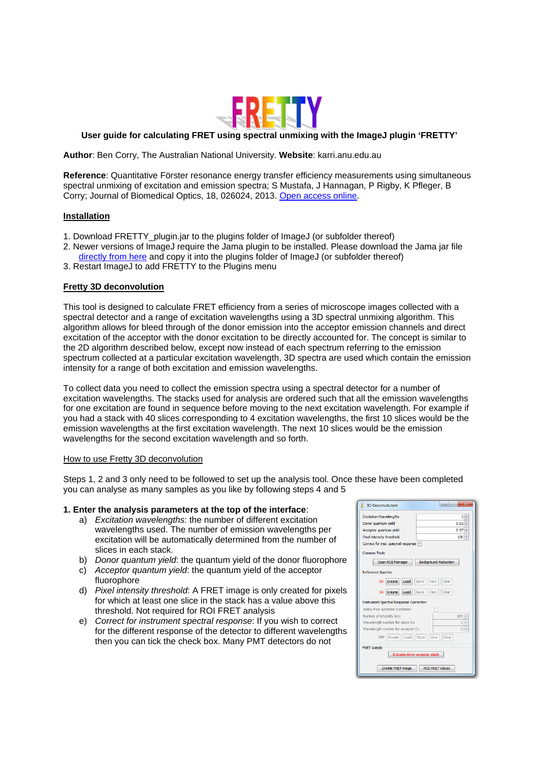

# **User guide for calculating FRET using spectral unmixing with the ImageJ plugin 'FRETTY'**

**Author**: Ben Corry, The Australian National University. **Website**: karri.anu.edu.au

**Reference**: Quantitative Förster resonance energy transfer efficiency measurements using simultaneous spectral unmixing of excitation and emission spectra; S Mustafa, J Hannagan, P Rigby, K Pfleger, B Corry; Journal of Biomedical Optics, 18, 026024, 2013. [Open access online.](http://biomedicaloptics.spiedigitallibrary.org/article.aspx?articleid=1654306) 

## **Installation**

- 1. Download FRETTY\_plugin.jar to the plugins folder of ImageJ (or subfolder thereof)
- 2. Newer versions of ImageJ require the Jama plugin to be installed. Please download the Jama jar file
- [directly from here](http://math.nist.gov/javanumerics/jama/#Package) and copy it into the plugins folder of ImageJ (or subfolder thereof)
- 3. Restart ImageJ to add FRETTY to the Plugins menu

## **Fretty 3D deconvolution**

This tool is designed to calculate FRET efficiency from a series of microscope images collected with a spectral detector and a range of excitation wavelengths using a 3D spectral unmixing algorithm. This algorithm allows for bleed through of the donor emission into the acceptor emission channels and direct excitation of the acceptor with the donor excitation to be directly accounted for. The concept is similar to the 2D algorithm described below, except now instead of each spectrum referring to the emission spectrum collected at a particular excitation wavelength, 3D spectra are used which contain the emission intensity for a range of both excitation and emission wavelengths.

To collect data you need to collect the emission spectra using a spectral detector for a number of excitation wavelengths. The stacks used for analysis are ordered such that all the emission wavelengths for one excitation are found in sequence before moving to the next excitation wavelength. For example if you had a stack with 40 slices corresponding to 4 excitation wavelengths, the first 10 slices would be the emission wavelengths at the first excitation wavelength. The next 10 slices would be the emission wavelengths for the second excitation wavelength and so forth.

### How to use Fretty 3D deconvolution

Steps 1, 2 and 3 only need to be followed to set up the analysis tool. Once these have been completed you can analyse as many samples as you like by following steps 4 and 5

## **1. Enter the analysis parameters at the top of the interface**:

- a) *Excitation wavelengths*: the number of different excitation wavelengths used. The number of emission wavelengths per excitation will be automatically determined from the number of slices in each stack.
- b) *Donor quantum yield*: the quantum yield of the donor fluorophore
- c) *Acceptor quantum yield*: the quantum yield of the acceptor fluorophore
- d) *Pixel intensity threshold*: A FRET image is only created for pixels for which at least one slice in the stack has a value above this threshold. Not required for ROI FRET analysis
- e) *Correct for instrument spectral response*: If you wish to correct for the different response of the detector to different wavelengths then you can tick the check box. Many PMT detectors do not

| <b>Excitation Wavelengths</b>                  | $2 -$                        |
|------------------------------------------------|------------------------------|
| Donor quantum vield                            | 0.62                         |
| Acceptor quantum yield                         | $0.57 -$                     |
| Pixel intensity threshold                      | $100 -$                      |
| Correct for inst. spectral response            |                              |
| <b>Common Tools</b>                            |                              |
| Open ROI Manager                               | <b>Background Reduction</b>  |
|                                                |                              |
| Reference Spectra                              |                              |
| Load<br>SD Create                              | Save<br><b>View</b><br>Clear |
|                                                |                              |
| SA Create<br>Load                              | Save<br>View<br>Clear        |
| <b>Instrument Spectral Response Correction</b> |                              |
| <b>Index from Acceptor Excitation</b>          |                              |
| Number of intensity bins                       | $100 -$                      |
| Wavelength number for donor Ex                 | $1\div$                      |
| Wavelength number for acceptor Ex              | $2^{\circ}$                  |
| SRF Create Load                                | Save<br>View<br>Clear        |
| <b>FRET Sample</b>                             |                              |
|                                                |                              |
| Indicate donor acceptor stack                  |                              |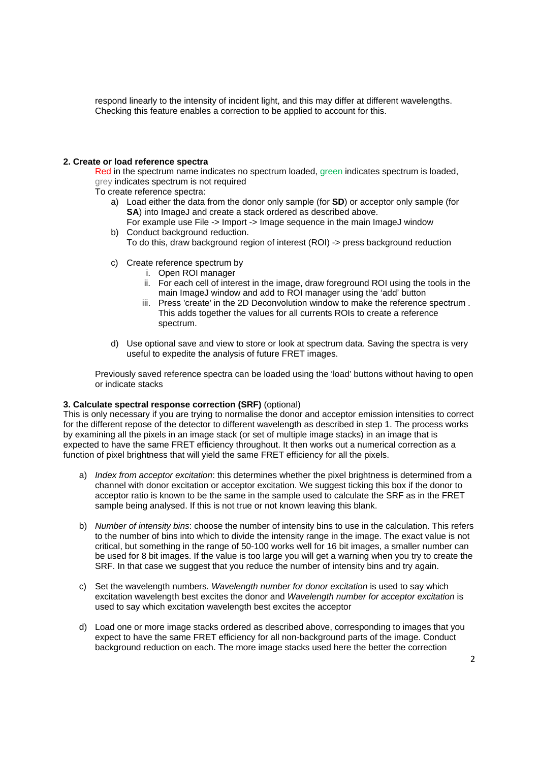respond linearly to the intensity of incident light, and this may differ at different wavelengths. Checking this feature enables a correction to be applied to account for this.

#### **2. Create or load reference spectra**

Red in the spectrum name indicates no spectrum loaded, green indicates spectrum is loaded, grey indicates spectrum is not required

- To create reference spectra:
	- a) Load either the data from the donor only sample (for **SD**) or acceptor only sample (for **SA**) into ImageJ and create a stack ordered as described above. For example use File -> Import -> Image sequence in the main ImageJ window
	- b) Conduct background reduction. To do this, draw background region of interest (ROI) -> press background reduction
	- c) Create reference spectrum by
		- i. Open ROI manager
		- ii. For each cell of interest in the image, draw foreground ROI using the tools in the main ImageJ window and add to ROI manager using the 'add' button
		- iii. Press 'create' in the 2D Deconvolution window to make the reference spectrum . This adds together the values for all currents ROIs to create a reference spectrum.
	- d) Use optional save and view to store or look at spectrum data. Saving the spectra is very useful to expedite the analysis of future FRET images.

Previously saved reference spectra can be loaded using the 'load' buttons without having to open or indicate stacks

## **3. Calculate spectral response correction (SRF)** (optional)

This is only necessary if you are trying to normalise the donor and acceptor emission intensities to correct for the different repose of the detector to different wavelength as described in step 1. The process works by examining all the pixels in an image stack (or set of multiple image stacks) in an image that is expected to have the same FRET efficiency throughout. It then works out a numerical correction as a function of pixel brightness that will yield the same FRET efficiency for all the pixels.

- a) *Index from acceptor excitation*: this determines whether the pixel brightness is determined from a channel with donor excitation or acceptor excitation. We suggest ticking this box if the donor to acceptor ratio is known to be the same in the sample used to calculate the SRF as in the FRET sample being analysed. If this is not true or not known leaving this blank.
- b) *Number of intensity bins*: choose the number of intensity bins to use in the calculation. This refers to the number of bins into which to divide the intensity range in the image. The exact value is not critical, but something in the range of 50-100 works well for 16 bit images, a smaller number can be used for 8 bit images. If the value is too large you will get a warning when you try to create the SRF. In that case we suggest that you reduce the number of intensity bins and try again.
- c) Set the wavelength numbers*. Wavelength number for donor excitation* is used to say which excitation wavelength best excites the donor and *Wavelength number for acceptor excitation* is used to say which excitation wavelength best excites the acceptor
- d) Load one or more image stacks ordered as described above, corresponding to images that you expect to have the same FRET efficiency for all non-background parts of the image. Conduct background reduction on each. The more image stacks used here the better the correction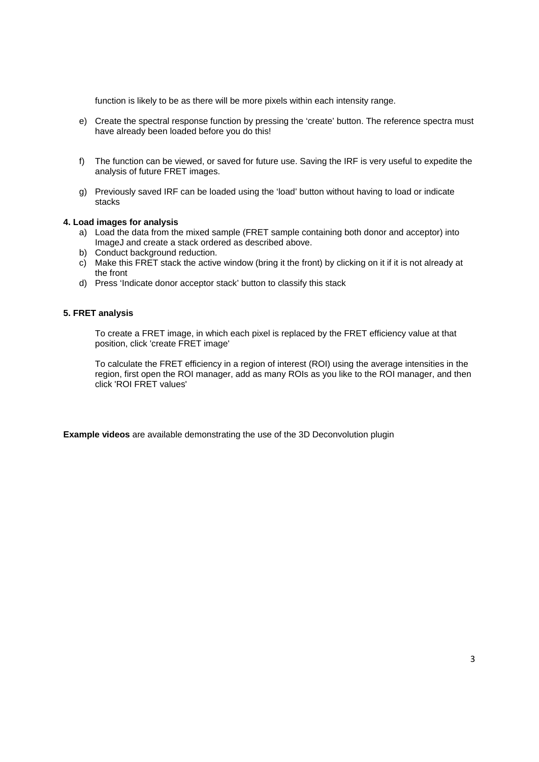function is likely to be as there will be more pixels within each intensity range.

- e) Create the spectral response function by pressing the 'create' button. The reference spectra must have already been loaded before you do this!
- f) The function can be viewed, or saved for future use. Saving the IRF is very useful to expedite the analysis of future FRET images.
- g) Previously saved IRF can be loaded using the 'load' button without having to load or indicate stacks

## **4. Load images for analysis**

- a) Load the data from the mixed sample (FRET sample containing both donor and acceptor) into ImageJ and create a stack ordered as described above.
- b) Conduct background reduction.
- c) Make this FRET stack the active window (bring it the front) by clicking on it if it is not already at the front
- d) Press 'Indicate donor acceptor stack' button to classify this stack

## **5. FRET analysis**

To create a FRET image, in which each pixel is replaced by the FRET efficiency value at that position, click 'create FRET image'

To calculate the FRET efficiency in a region of interest (ROI) using the average intensities in the region, first open the ROI manager, add as many ROIs as you like to the ROI manager, and then click 'ROI FRET values'

**Example videos** are available demonstrating the use of the 3D Deconvolution plugin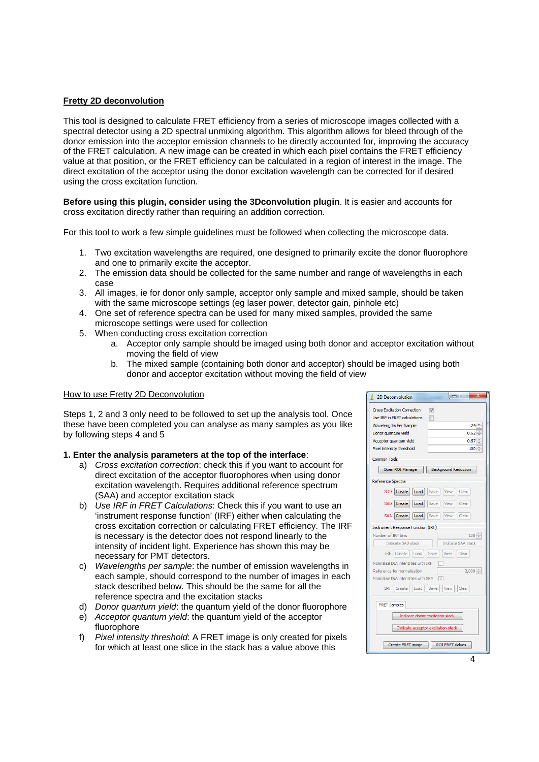## **Fretty 2D deconvolution**

This tool is designed to calculate FRET efficiency from a series of microscope images collected with a spectral detector using a 2D spectral unmixing algorithm. This algorithm allows for bleed through of the donor emission into the acceptor emission channels to be directly accounted for, improving the accuracy of the FRET calculation. A new image can be created in which each pixel contains the FRET efficiency value at that position, or the FRET efficiency can be calculated in a region of interest in the image. The direct excitation of the acceptor using the donor excitation wavelength can be corrected for if desired using the cross excitation function.

**Before using this plugin, consider using the 3Dconvolution plugin**. It is easier and accounts for cross excitation directly rather than requiring an addition correction.

For this tool to work a few simple guidelines must be followed when collecting the microscope data.

- 1. Two excitation wavelengths are required, one designed to primarily excite the donor fluorophore and one to primarily excite the acceptor.
- 2. The emission data should be collected for the same number and range of wavelengths in each case
- 3. All images, ie for donor only sample, acceptor only sample and mixed sample, should be taken with the same microscope settings (eg laser power, detector gain, pinhole etc)
- 4. One set of reference spectra can be used for many mixed samples, provided the same microscope settings were used for collection
- 5. When conducting cross excitation correction
	- a. Acceptor only sample should be imaged using both donor and acceptor excitation without moving the field of view
	- b. The mixed sample (containing both donor and acceptor) should be imaged using both donor and acceptor excitation without moving the field of view

### How to use Fretty 2D Deconvolution

Steps 1, 2 and 3 only need to be followed to set up the analysis tool. Once these have been completed you can analyse as many samples as you like by following steps 4 and 5

## **1. Enter the analysis parameters at the top of the interface**:

- a) *Cross excitation correction*: check this if you want to account for direct excitation of the acceptor fluorophores when using donor excitation wavelength. Requires additional reference spectrum (SAA) and acceptor excitation stack
- b) *Use IRF in FRET Calculations*: Check this if you want to use an 'instrument response function' (IRF) either when calculating the cross excitation correction or calculating FRET efficiency. The IRF is necessary is the detector does not respond linearly to the intensity of incident light. Experience has shown this may be necessary for PMT detectors.
- c) *Wavelengths per sample*: the number of emission wavelengths in each sample, should correspond to the number of images in each stack described below. This should be the same for all the reference spectra and the excitation stacks
- d) *Donor quantum yield*: the quantum yield of the donor fluorophore
- e) *Acceptor quantum yield*: the quantum yield of the acceptor fluorophore
- f) *Pixel intensity threshold*: A FRET image is only created for pixels for which at least one slice in the stack has a value above this

| a e e<br>$\mathbf{x}$<br>2D Deconvolution                     |  |
|---------------------------------------------------------------|--|
| <b>Cross Excitation Correction</b><br>$\overline{\mathbf{v}}$ |  |
| Use IRF in FRET calculations<br>m                             |  |
| <b>Wavelengths Per Sample</b><br>$24 -$                       |  |
| Donor quantum yield<br>0.62                                   |  |
| Acceptor quantum yield<br>0.57                                |  |
| Pixel intensity threshold<br>100                              |  |
| <b>Common Tools</b>                                           |  |
| Open ROI Manager<br><b>Background Reduction</b>               |  |
| Reference Spectra                                             |  |
| SDD Create<br>Load<br>Save<br>View<br>Clear                   |  |
| SAD Create<br>Load<br>Save<br>View<br>Clear                   |  |
| SAA Create<br>Load<br>Save<br>View<br>Clear                   |  |
| <b>Instrument Response Function (IRF)</b>                     |  |
| Number of IRF bins<br>100                                     |  |
| Indicate SAD stack<br>Indicate SAA stack                      |  |
| <b>IRF</b> Create<br>Load<br>Save<br>View<br>Clear            |  |
| Normalise D:A intensities with IRF                            |  |
| $2,000 -$<br>Reference for normalisation                      |  |
| Normalise D:A intensities with SRF<br>IJ                      |  |
| SRF Create Load Save<br>View<br>Clear                         |  |
| <b>FRET Samples</b>                                           |  |
| Indicate donor excitation stack                               |  |
|                                                               |  |
| Indicate acceptor excitation stack                            |  |
| <b>ROI FRET Values</b><br>Create FRET image                   |  |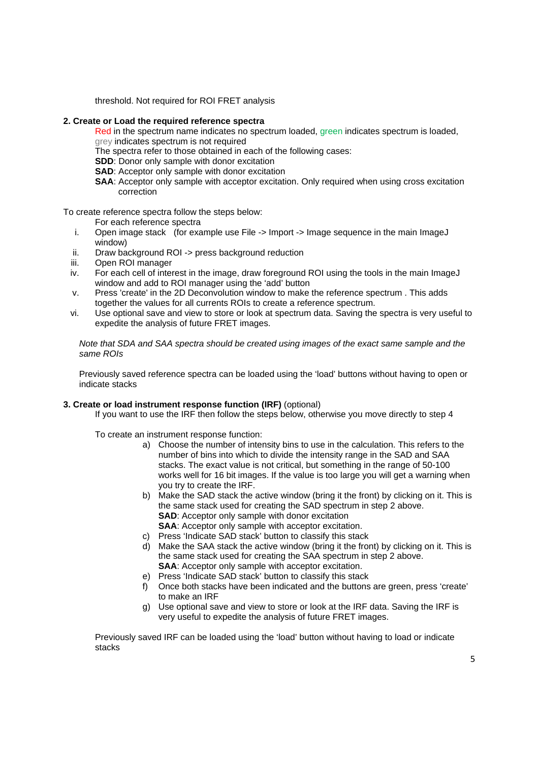threshold. Not required for ROI FRET analysis

### **2. Create or Load the required reference spectra**

Red in the spectrum name indicates no spectrum loaded, green indicates spectrum is loaded, grey indicates spectrum is not required

- The spectra refer to those obtained in each of the following cases:
- **SDD**: Donor only sample with donor excitation
- **SAD:** Acceptor only sample with donor excitation
- **SAA**: Acceptor only sample with acceptor excitation. Only required when using cross excitation correction

To create reference spectra follow the steps below:

For each reference spectra

- i. Open image stack (for example use File -> Import -> Image sequence in the main ImageJ window)
- ii. Draw background ROI -> press background reduction
- iii. Open ROI manager
- iv. For each cell of interest in the image, draw foreground ROI using the tools in the main ImageJ window and add to ROI manager using the 'add' button
- v. Press 'create' in the 2D Deconvolution window to make the reference spectrum . This adds together the values for all currents ROIs to create a reference spectrum.
- vi. Use optional save and view to store or look at spectrum data. Saving the spectra is very useful to expedite the analysis of future FRET images.

*Note that SDA and SAA spectra should be created using images of the exact same sample and the same ROIs* 

Previously saved reference spectra can be loaded using the 'load' buttons without having to open or indicate stacks

## **3. Create or load instrument response function (IRF)** (optional)

If you want to use the IRF then follow the steps below, otherwise you move directly to step 4

To create an instrument response function:

- a) Choose the number of intensity bins to use in the calculation. This refers to the number of bins into which to divide the intensity range in the SAD and SAA stacks. The exact value is not critical, but something in the range of 50-100 works well for 16 bit images. If the value is too large you will get a warning when you try to create the IRF.
- b) Make the SAD stack the active window (bring it the front) by clicking on it. This is the same stack used for creating the SAD spectrum in step 2 above. **SAD:** Acceptor only sample with donor excitation **SAA:** Acceptor only sample with acceptor excitation.
- c) Press 'Indicate SAD stack' button to classify this stack
- d) Make the SAA stack the active window (bring it the front) by clicking on it. This is the same stack used for creating the SAA spectrum in step 2 above. **SAA:** Acceptor only sample with acceptor excitation.
- e) Press 'Indicate SAD stack' button to classify this stack
- f) Once both stacks have been indicated and the buttons are green, press 'create' to make an IRF
- g) Use optional save and view to store or look at the IRF data. Saving the IRF is very useful to expedite the analysis of future FRET images.

Previously saved IRF can be loaded using the 'load' button without having to load or indicate stacks